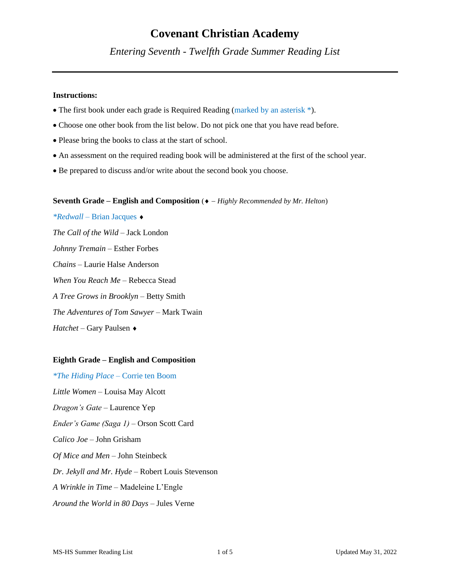# **Covenant Christian Academy**

*Entering Seventh - Twelfth Grade Summer Reading List*

## **Instructions:**

- The first book under each grade is Required Reading (marked by an asterisk \*).
- Choose one other book from the list below. Do not pick one that you have read before.
- Please bring the books to class at the start of school.
- An assessment on the required reading book will be administered at the first of the school year.
- Be prepared to discuss and/or write about the second book you choose.

#### **Seventh Grade – English and Composition (◆** – Highly Recommended by Mr. Helton)

*\*Redwall –* Brian Jacques *The Call of the Wild –* Jack London *Johnny Tremain –* Esther Forbes *Chains –* Laurie Halse Anderson *When You Reach Me –* Rebecca Stead *A Tree Grows in Brooklyn –* Betty Smith *The Adventures of Tom Sawyer –* Mark Twain *Hatchet –* Gary Paulsen

# **Eighth Grade – English and Composition**

*\*The Hiding Place –* Corrie ten Boom *Little Women –* Louisa May Alcott *Dragon's Gate –* Laurence Yep *Ender's Game (Saga 1) –* Orson Scott Card *Calico Joe –* John Grisham *Of Mice and Men –* John Steinbeck *Dr. Jekyll and Mr. Hyde –* Robert Louis Stevenson *A Wrinkle in Time –* Madeleine L'Engle *Around the World in 80 Days –* Jules Verne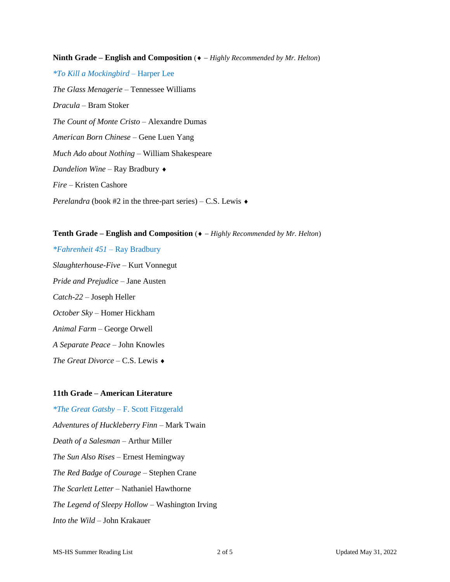**Ninth Grade – English and Composition (◆** – *Highly Recommended by Mr. Helton*) *\*To Kill a Mockingbird –* Harper Lee *The Glass Menagerie –* Tennessee Williams *Dracula –* Bram Stoker *The Count of Monte Cristo –* Alexandre Dumas *American Born Chinese –* Gene Luen Yang *Much Ado about Nothing –* William Shakespeare *Dandelion Wine –* Ray Bradbury *Fire –* Kristen Cashore *Perelandra* (book #2 in the three-part series) – C.S. Lewis ♦

## **Tenth Grade – English and Composition** ( − *Highly Recommended by Mr. Helton*)

*\*Fahrenheit 451 –* Ray Bradbury *Slaughterhouse-Five –* Kurt Vonnegut *Pride and Prejudice –* Jane Austen *Catch-22 –* Joseph Heller *October Sky –* Homer Hickham *Animal Farm –* George Orwell *A Separate Peace –* John Knowles *The Great Divorce –* C.S. Lewis

# **11th Grade – American Literature**

*\*The Great Gatsby –* F. Scott Fitzgerald *Adventures of Huckleberry Finn –* Mark Twain *Death of a Salesman –* Arthur Miller *The Sun Also Rises –* Ernest Hemingway *The Red Badge of Courage –* Stephen Crane *The Scarlett Letter –* Nathaniel Hawthorne *The Legend of Sleepy Hollow –* Washington Irving *Into the Wild –* John Krakauer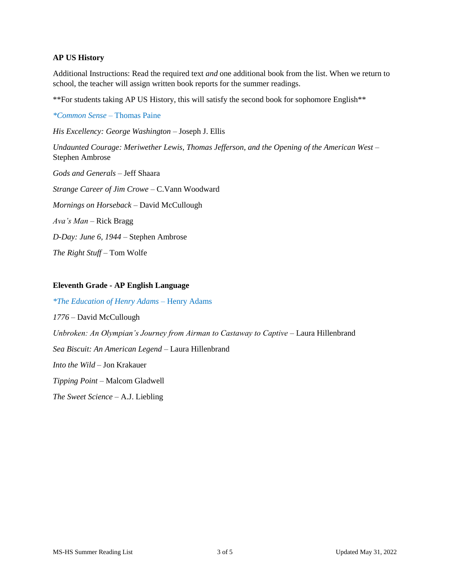## **AP US History**

Additional Instructions: Read the required text *and* one additional book from the list. When we return to school, the teacher will assign written book reports for the summer readings.

\*\*For students taking AP US History, this will satisfy the second book for sophomore English\*\*

*\*Common Sense –* Thomas Paine *His Excellency: George Washington –* Joseph J. Ellis *Undaunted Courage: Meriwether Lewis, Thomas Jefferson, and the Opening of the American West –* Stephen Ambrose *Gods and Generals –* Jeff Shaara *Strange Career of Jim Crowe –* C.Vann Woodward *Mornings on Horseback –* David McCullough *Ava's Man –* Rick Bragg *D-Day: June 6, 1944 –* Stephen Ambrose *The Right Stuff –* Tom Wolfe

# **Eleventh Grade - AP English Language**

*\*The Education of Henry Adams –* Henry Adams *1776 –* David McCullough *Unbroken: An Olympian's Journey from Airman to Castaway to Captive –* Laura Hillenbrand *Sea Biscuit: An American Legend –* Laura Hillenbrand *Into the Wild –* Jon Krakauer *Tipping Point –* Malcom Gladwell *The Sweet Science –* A.J. Liebling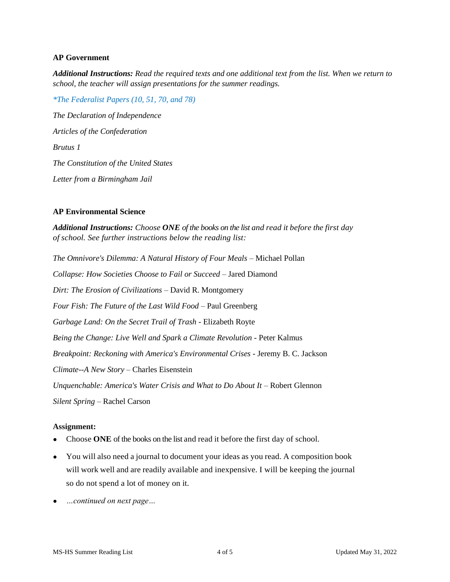## **AP Government**

*Additional Instructions: Read the required texts and one additional text from the list. When we return to school, the teacher will assign presentations for the summer readings.* 

*\*The Federalist Papers (10, 51, 70, and 78) The Declaration of Independence Articles of the Confederation Brutus 1 The Constitution of the United States Letter from a Birmingham Jail*

# **AP Environmental Science**

*Additional Instructions: Choose ONE of the books on the list and read it before the first day of school. See further instructions below the reading list:* 

*The Omnivore's Dilemma: A Natural History of Four Meals –* Michael Pollan *Collapse: How Societies Choose to Fail or Succeed –* Jared Diamond *Dirt: The Erosion of Civilizations –* David R. Montgomery *Four Fish: The Future of the Last Wild Food –* Paul Greenberg *Garbage Land: On the Secret Trail of Trash -* Elizabeth Royte *Being the Change: Live Well and Spark a Climate Revolution -* Peter Kalmus *Breakpoint: Reckoning with America's Environmental Crises -* Jeremy B. C. Jackson *Climate--A New Story –* Charles Eisenstein *Unquenchable: America's Water Crisis and What to Do About It –* Robert Glennon *Silent Spring –* Rachel Carson

#### **Assignment:**

- Choose ONE of the books on the list and read it before the first day of school.
- You will also need a journal to document your ideas as you read. A composition book will work well and are readily available and inexpensive. I will be keeping the journal so do not spend a lot of money on it.
- *…continued on next page…*